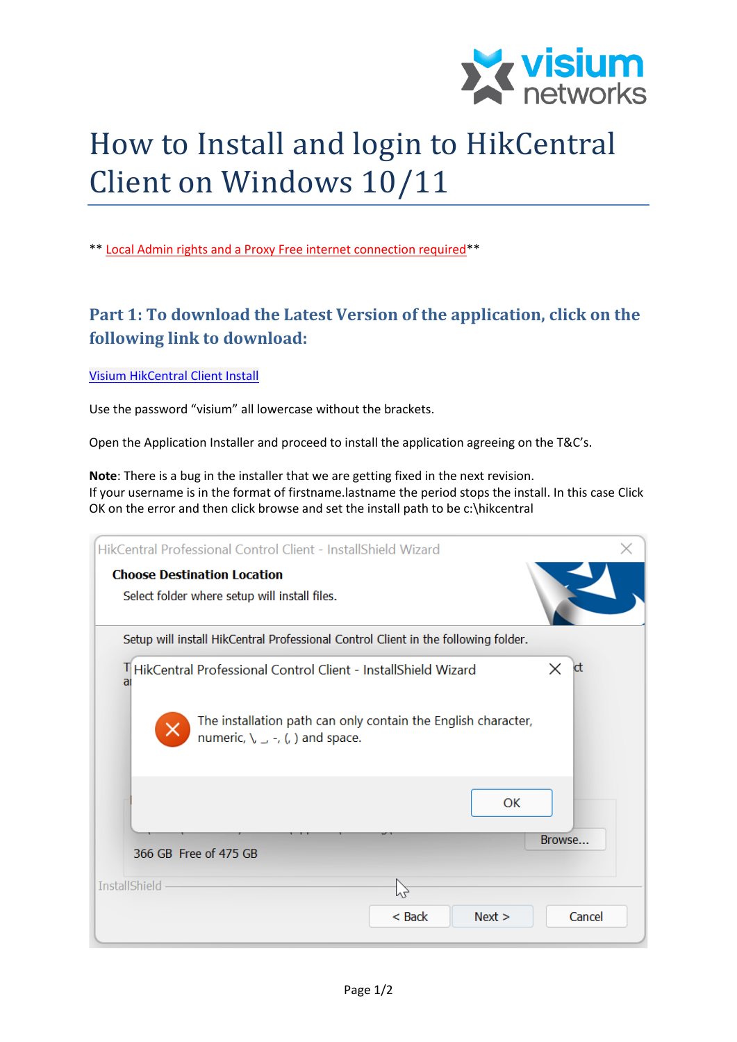

## How to Install and login to HikCentral Client on Windows 10/11

\*\* Local Admin rights and a Proxy Free internet connection required\*\*

## **Part 1: To download the Latest Version of the application, click on the following link to download:**

[Visium HikCentral Client Install](https://visiumnetworks.sharepoint.com/:u:/g/EdrLZ_dBsRJKlHYiwZCQFUoBEI7yR0OkXiM82Y-IXl_rXw?e=UibueQ)

Use the password "visium" all lowercase without the brackets.

Open the Application Installer and proceed to install the application agreeing on the T&C's.

**Note**: There is a bug in the installer that we are getting fixed in the next revision. If your username is in the format of firstname.lastname the period stops the install. In this case Click OK on the error and then click browse and set the install path to be c:\hikcentral

| HikCentral Professional Control Client - InstallShield Wizard                                                                                                                       |                |      |                |
|-------------------------------------------------------------------------------------------------------------------------------------------------------------------------------------|----------------|------|----------------|
| <b>Choose Destination Location</b><br>Select folder where setup will install files.                                                                                                 |                |      |                |
| Setup will install HikCentral Professional Control Client in the following folder.                                                                                                  |                |      |                |
| THikCentral Professional Control Client - InstallShield Wizard<br>a<br>The installation path can only contain the English character,<br>numeric, $\setminus \_ -$ , (, ) and space. |                |      | $\times$<br>ct |
| 366 GB Free of 475 GB                                                                                                                                                               |                | OK   | Browse         |
| <b>InstallShield</b>                                                                                                                                                                | ľΖ<br>$<$ Back | Next | Cancel         |